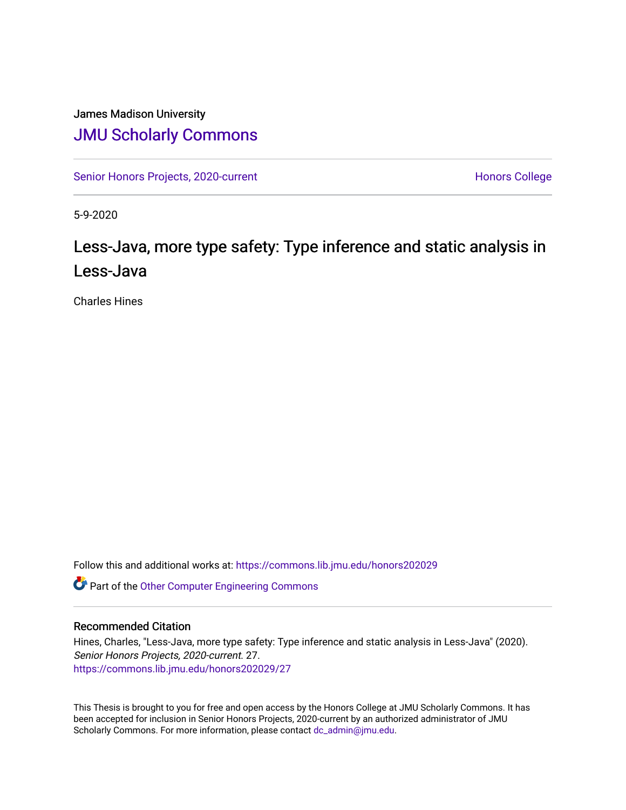## James Madison University [JMU Scholarly Commons](https://commons.lib.jmu.edu/)

[Senior Honors Projects, 2020-current](https://commons.lib.jmu.edu/honors202029) North [Honors College](https://commons.lib.jmu.edu/honors) Honors College

5-9-2020

# Less-Java, more type safety: Type inference and static analysis in Less-Java

Charles Hines

Follow this and additional works at: [https://commons.lib.jmu.edu/honors202029](https://commons.lib.jmu.edu/honors202029?utm_source=commons.lib.jmu.edu%2Fhonors202029%2F27&utm_medium=PDF&utm_campaign=PDFCoverPages)

Part of the [Other Computer Engineering Commons](http://network.bepress.com/hgg/discipline/265?utm_source=commons.lib.jmu.edu%2Fhonors202029%2F27&utm_medium=PDF&utm_campaign=PDFCoverPages)

### Recommended Citation

Hines, Charles, "Less-Java, more type safety: Type inference and static analysis in Less-Java" (2020). Senior Honors Projects, 2020-current. 27. [https://commons.lib.jmu.edu/honors202029/27](https://commons.lib.jmu.edu/honors202029/27?utm_source=commons.lib.jmu.edu%2Fhonors202029%2F27&utm_medium=PDF&utm_campaign=PDFCoverPages) 

This Thesis is brought to you for free and open access by the Honors College at JMU Scholarly Commons. It has been accepted for inclusion in Senior Honors Projects, 2020-current by an authorized administrator of JMU Scholarly Commons. For more information, please contact [dc\\_admin@jmu.edu.](mailto:dc_admin@jmu.edu)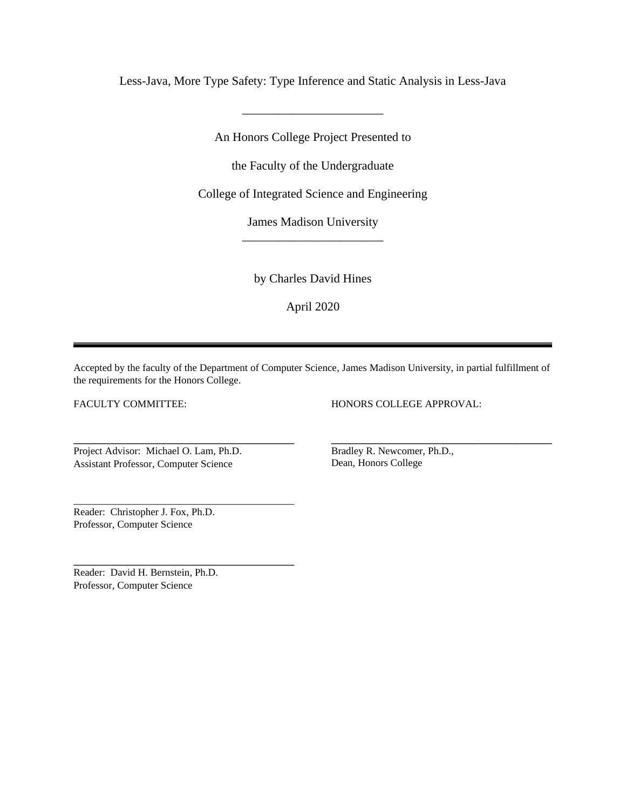Less-Java, More Type Safety: Type Inference and Static Analysis in Less-Java

\_\_\_\_\_\_\_\_\_\_\_\_\_\_\_\_\_\_\_\_\_\_\_

An Honors College Project Presented to

the Faculty of the Undergraduate

College of Integrated Science and Engineering

James Madison University \_\_\_\_\_\_\_\_\_\_\_\_\_\_\_\_\_\_\_\_\_\_\_

by Charles David Hines

April 2020

Accepted by the faculty of the Department of Computer Science, James Madison University, in partial fulfillment of the requirements for the Honors College.

 $\overline{a}$ 

FACULTY COMMITTEE:

 $\overline{a}$ 

 $\overline{a}$ 

 $\overline{a}$ 

HONORS COLLEGE APPROVAL:

Project Advisor: Michael O. Lam, Ph.D. Assistant Professor, Computer Science

Bradley R. Newcomer, Ph.D., Dean, Honors College

Reader: Christopher J. Fox, Ph.D. Professor, Computer Science

Reader: David H. Bernstein, Ph.D. Professor, Computer Science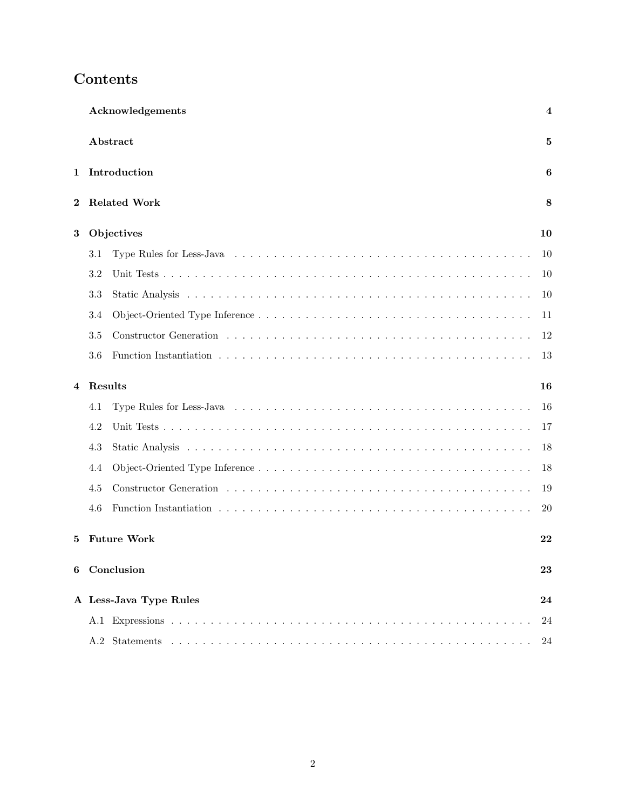| Acknowledgements<br>Abstract    |            |                        |    |  |  |
|---------------------------------|------------|------------------------|----|--|--|
|                                 |            |                        |    |  |  |
| <b>Related Work</b><br>$\bf{2}$ |            |                        |    |  |  |
| 3                               | Objectives |                        |    |  |  |
|                                 | 3.1        |                        | 10 |  |  |
|                                 | 3.2        |                        | 10 |  |  |
|                                 | 3.3        |                        | 10 |  |  |
|                                 | 3.4        |                        | 11 |  |  |
|                                 | 3.5        |                        | 12 |  |  |
|                                 | 3.6        |                        | 13 |  |  |
| 4                               | Results    |                        |    |  |  |
|                                 | 4.1        |                        | 16 |  |  |
|                                 | 4.2        |                        | 17 |  |  |
|                                 | 4.3        |                        | 18 |  |  |
|                                 | 4.4        |                        | 18 |  |  |
|                                 | 4.5        |                        | 19 |  |  |
|                                 | 4.6        |                        | 20 |  |  |
| 5                               |            | <b>Future Work</b>     | 22 |  |  |
|                                 |            | 6 Conclusion           | 23 |  |  |
|                                 |            | A Less-Java Type Rules | 24 |  |  |
|                                 |            |                        | 24 |  |  |
|                                 |            |                        | 24 |  |  |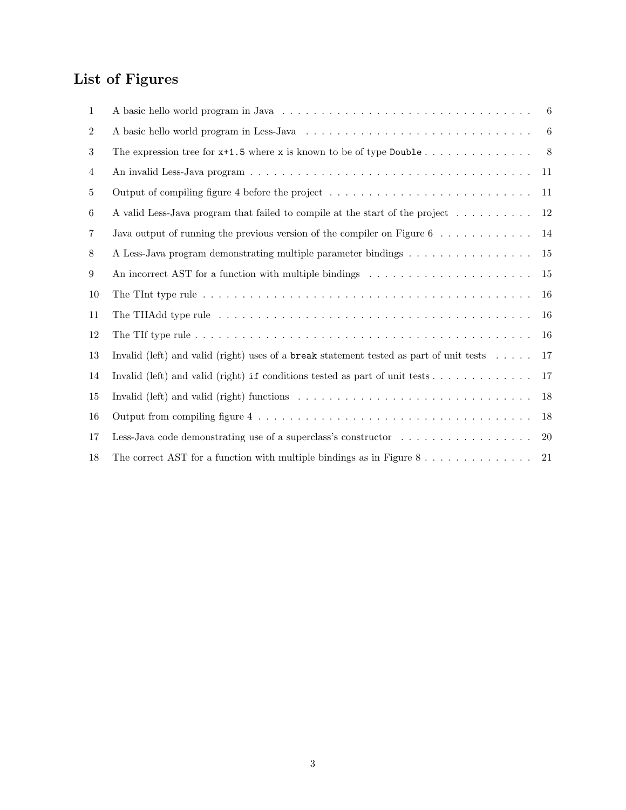# <span id="page-3-0"></span>List of Figures

| $\mathbf{1}$   |                                                                                                                      | 6         |
|----------------|----------------------------------------------------------------------------------------------------------------------|-----------|
| $\overline{2}$ |                                                                                                                      | 6         |
| 3              | The expression tree for $x+1.5$ where x is known to be of type Double                                                | 8         |
| 4              |                                                                                                                      | 11        |
| 5              |                                                                                                                      | 11        |
| 6              | A valid Less-Java program that failed to compile at the start of the project                                         | 12        |
| $\overline{7}$ | Java output of running the previous version of the compiler on Figure $6 \ldots \ldots \ldots \ldots$                | 14        |
| 8              | A Less-Java program demonstrating multiple parameter bindings                                                        | 15        |
| 9              | An incorrect AST for a function with multiple bindings $\dots \dots \dots \dots \dots \dots \dots \dots$             | 15        |
| 10             |                                                                                                                      | 16        |
| 11             |                                                                                                                      | 16        |
| 12             |                                                                                                                      | 16        |
| 13             | Invalid (left) and valid (right) uses of a break statement tested as part of unit tests $\dots$ .                    | 17        |
| 14             | Invalid (left) and valid (right) if conditions tested as part of unit tests $\dots \dots \dots \dots$                | 17        |
| 15             | Invalid (left) and valid (right) functions $\dots \dots \dots \dots \dots \dots \dots \dots \dots \dots \dots \dots$ | 18        |
| 16             |                                                                                                                      | 18        |
| 17             |                                                                                                                      | <b>20</b> |
| 18             | The correct AST for a function with multiple bindings as in Figure $8 \ldots \ldots \ldots \ldots$                   | 21        |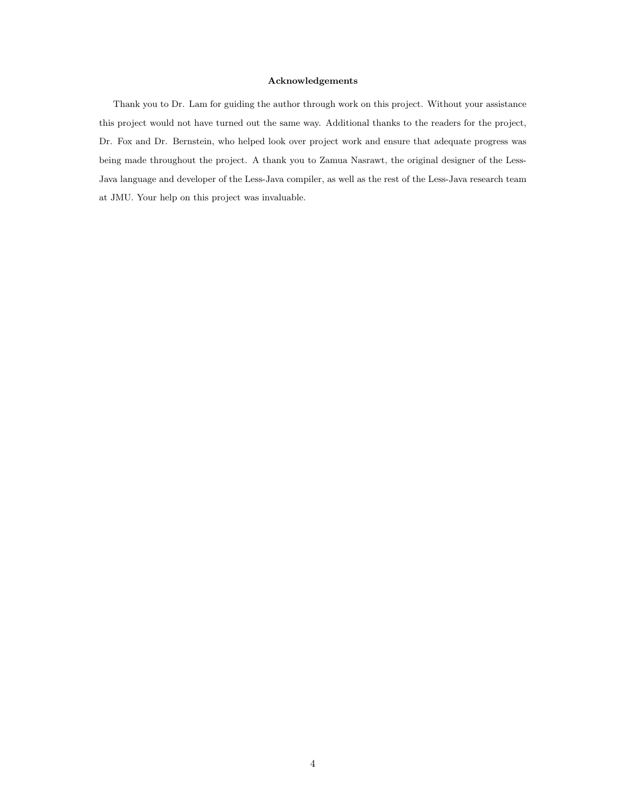#### Acknowledgements

Thank you to Dr. Lam for guiding the author through work on this project. Without your assistance this project would not have turned out the same way. Additional thanks to the readers for the project, Dr. Fox and Dr. Bernstein, who helped look over project work and ensure that adequate progress was being made throughout the project. A thank you to Zamua Nasrawt, the original designer of the Less-Java language and developer of the Less-Java compiler, as well as the rest of the Less-Java research team at JMU. Your help on this project was invaluable.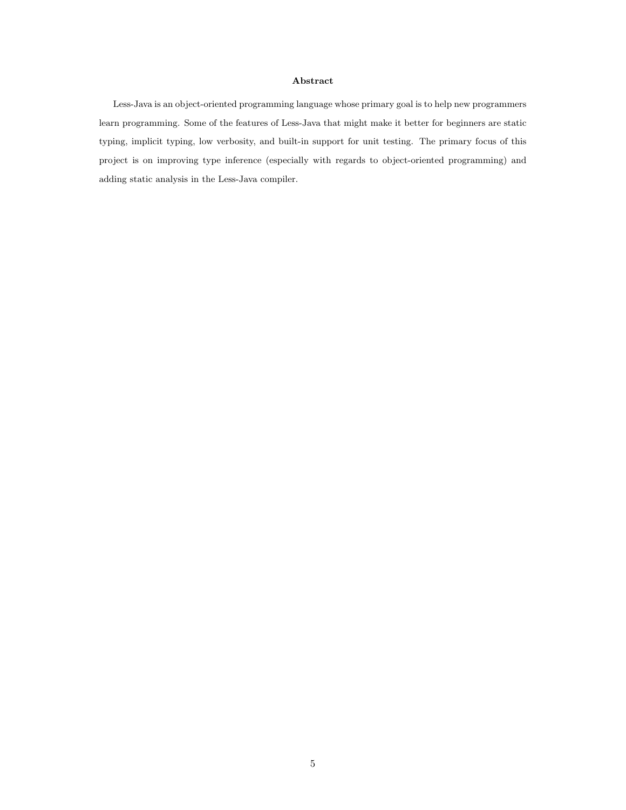#### Abstract

Less-Java is an object-oriented programming language whose primary goal is to help new programmers learn programming. Some of the features of Less-Java that might make it better for beginners are static typing, implicit typing, low verbosity, and built-in support for unit testing. The primary focus of this project is on improving type inference (especially with regards to object-oriented programming) and adding static analysis in the Less-Java compiler.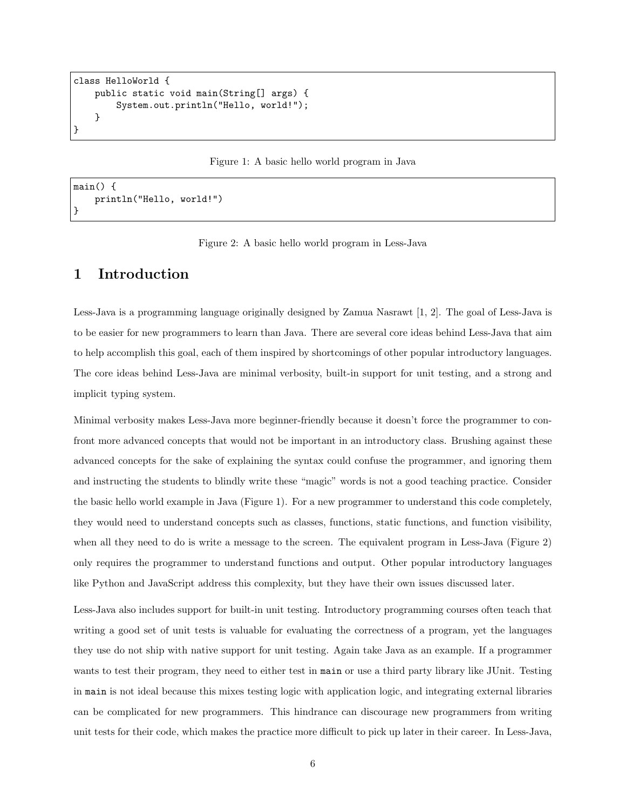```
class HelloWorld {
   public static void main(String[] args) {
        System.out.println("Hello, world!");
   }
}
```
<span id="page-6-1"></span>Figure 1: A basic hello world program in Java

```
main() {
    println("Hello, world!")
}
```
<span id="page-6-2"></span>Figure 2: A basic hello world program in Less-Java

### <span id="page-6-0"></span>1 Introduction

Less-Java is a programming language originally designed by Zamua Nasrawt [\[1,](#page-25-0) [2\]](#page-25-1). The goal of Less-Java is to be easier for new programmers to learn than Java. There are several core ideas behind Less-Java that aim to help accomplish this goal, each of them inspired by shortcomings of other popular introductory languages. The core ideas behind Less-Java are minimal verbosity, built-in support for unit testing, and a strong and implicit typing system.

Minimal verbosity makes Less-Java more beginner-friendly because it doesn't force the programmer to confront more advanced concepts that would not be important in an introductory class. Brushing against these advanced concepts for the sake of explaining the syntax could confuse the programmer, and ignoring them and instructing the students to blindly write these "magic" words is not a good teaching practice. Consider the basic hello world example in Java (Figure [1\)](#page-6-1). For a new programmer to understand this code completely, they would need to understand concepts such as classes, functions, static functions, and function visibility, when all they need to do is write a message to the screen. The equivalent program in Less-Java (Figure [2\)](#page-6-2) only requires the programmer to understand functions and output. Other popular introductory languages like Python and JavaScript address this complexity, but they have their own issues discussed later.

Less-Java also includes support for built-in unit testing. Introductory programming courses often teach that writing a good set of unit tests is valuable for evaluating the correctness of a program, yet the languages they use do not ship with native support for unit testing. Again take Java as an example. If a programmer wants to test their program, they need to either test in main or use a third party library like JUnit. Testing in main is not ideal because this mixes testing logic with application logic, and integrating external libraries can be complicated for new programmers. This hindrance can discourage new programmers from writing unit tests for their code, which makes the practice more difficult to pick up later in their career. In Less-Java,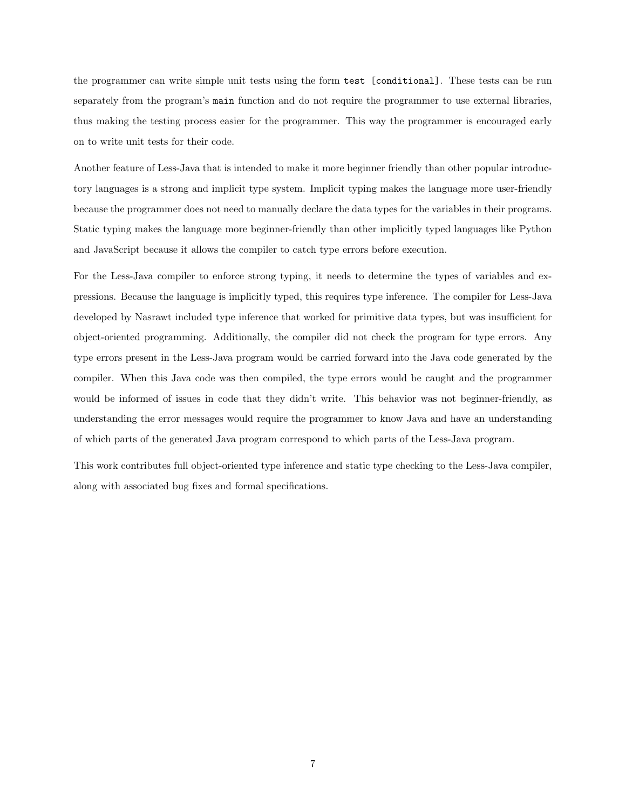the programmer can write simple unit tests using the form test [conditional]. These tests can be run separately from the program's main function and do not require the programmer to use external libraries, thus making the testing process easier for the programmer. This way the programmer is encouraged early on to write unit tests for their code.

Another feature of Less-Java that is intended to make it more beginner friendly than other popular introductory languages is a strong and implicit type system. Implicit typing makes the language more user-friendly because the programmer does not need to manually declare the data types for the variables in their programs. Static typing makes the language more beginner-friendly than other implicitly typed languages like Python and JavaScript because it allows the compiler to catch type errors before execution.

For the Less-Java compiler to enforce strong typing, it needs to determine the types of variables and expressions. Because the language is implicitly typed, this requires type inference. The compiler for Less-Java developed by Nasrawt included type inference that worked for primitive data types, but was insufficient for object-oriented programming. Additionally, the compiler did not check the program for type errors. Any type errors present in the Less-Java program would be carried forward into the Java code generated by the compiler. When this Java code was then compiled, the type errors would be caught and the programmer would be informed of issues in code that they didn't write. This behavior was not beginner-friendly, as understanding the error messages would require the programmer to know Java and have an understanding of which parts of the generated Java program correspond to which parts of the Less-Java program.

This work contributes full object-oriented type inference and static type checking to the Less-Java compiler, along with associated bug fixes and formal specifications.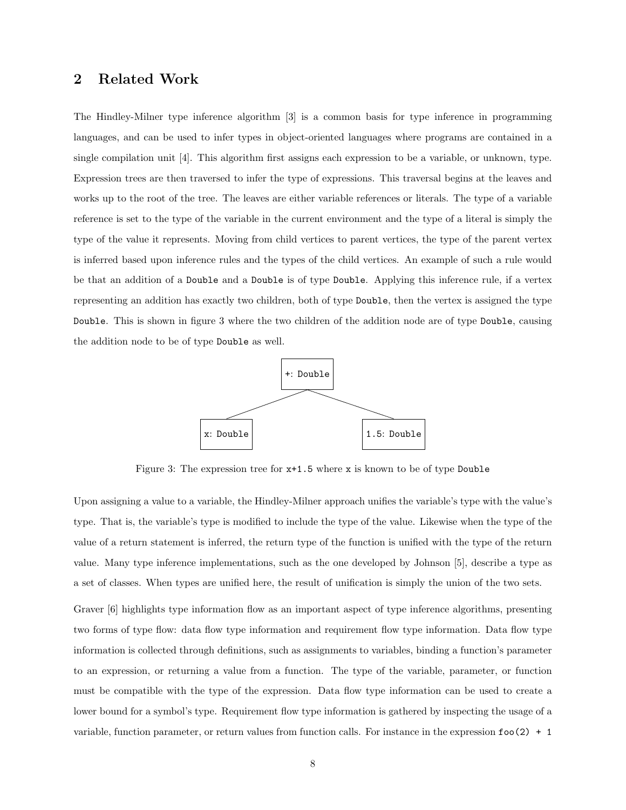### <span id="page-8-0"></span>2 Related Work

The Hindley-Milner type inference algorithm [\[3\]](#page-25-2) is a common basis for type inference in programming languages, and can be used to infer types in object-oriented languages where programs are contained in a single compilation unit [\[4\]](#page-25-3). This algorithm first assigns each expression to be a variable, or unknown, type. Expression trees are then traversed to infer the type of expressions. This traversal begins at the leaves and works up to the root of the tree. The leaves are either variable references or literals. The type of a variable reference is set to the type of the variable in the current environment and the type of a literal is simply the type of the value it represents. Moving from child vertices to parent vertices, the type of the parent vertex is inferred based upon inference rules and the types of the child vertices. An example of such a rule would be that an addition of a Double and a Double is of type Double. Applying this inference rule, if a vertex representing an addition has exactly two children, both of type Double, then the vertex is assigned the type Double. This is shown in figure [3](#page-8-1) where the two children of the addition node are of type Double, causing the addition node to be of type Double as well.



<span id="page-8-1"></span>Figure 3: The expression tree for x+1.5 where x is known to be of type Double

Upon assigning a value to a variable, the Hindley-Milner approach unifies the variable's type with the value's type. That is, the variable's type is modified to include the type of the value. Likewise when the type of the value of a return statement is inferred, the return type of the function is unified with the type of the return value. Many type inference implementations, such as the one developed by Johnson [\[5\]](#page-25-4), describe a type as a set of classes. When types are unified here, the result of unification is simply the union of the two sets.

Graver [\[6\]](#page-25-5) highlights type information flow as an important aspect of type inference algorithms, presenting two forms of type flow: data flow type information and requirement flow type information. Data flow type information is collected through definitions, such as assignments to variables, binding a function's parameter to an expression, or returning a value from a function. The type of the variable, parameter, or function must be compatible with the type of the expression. Data flow type information can be used to create a lower bound for a symbol's type. Requirement flow type information is gathered by inspecting the usage of a variable, function parameter, or return values from function calls. For instance in the expression foo(2) + 1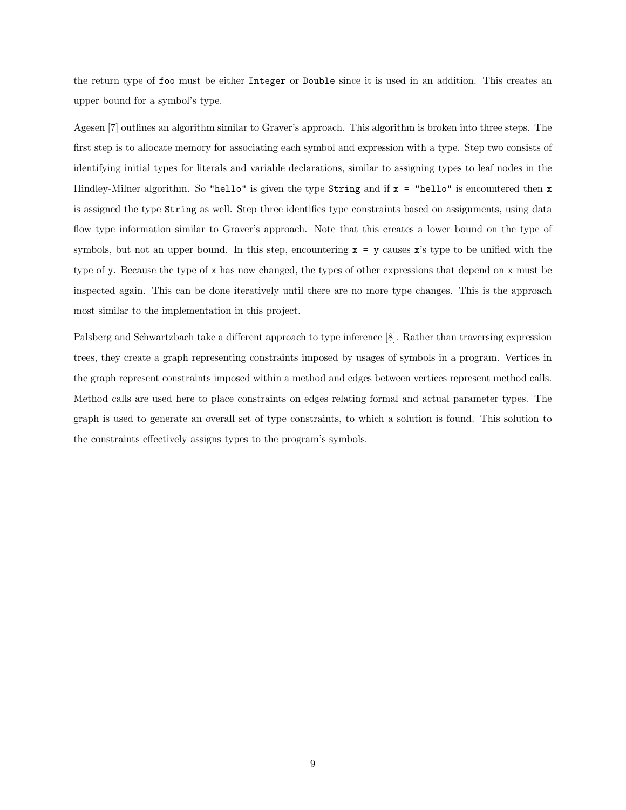the return type of foo must be either Integer or Double since it is used in an addition. This creates an upper bound for a symbol's type.

Agesen [\[7\]](#page-25-6) outlines an algorithm similar to Graver's approach. This algorithm is broken into three steps. The first step is to allocate memory for associating each symbol and expression with a type. Step two consists of identifying initial types for literals and variable declarations, similar to assigning types to leaf nodes in the Hindley-Milner algorithm. So "hello" is given the type  $String$  and if  $x = "hello"$  is encountered then x is assigned the type String as well. Step three identifies type constraints based on assignments, using data flow type information similar to Graver's approach. Note that this creates a lower bound on the type of symbols, but not an upper bound. In this step, encountering  $x = y$  causes x's type to be unified with the type of y. Because the type of x has now changed, the types of other expressions that depend on x must be inspected again. This can be done iteratively until there are no more type changes. This is the approach most similar to the implementation in this project.

Palsberg and Schwartzbach take a different approach to type inference [\[8\]](#page-25-7). Rather than traversing expression trees, they create a graph representing constraints imposed by usages of symbols in a program. Vertices in the graph represent constraints imposed within a method and edges between vertices represent method calls. Method calls are used here to place constraints on edges relating formal and actual parameter types. The graph is used to generate an overall set of type constraints, to which a solution is found. This solution to the constraints effectively assigns types to the program's symbols.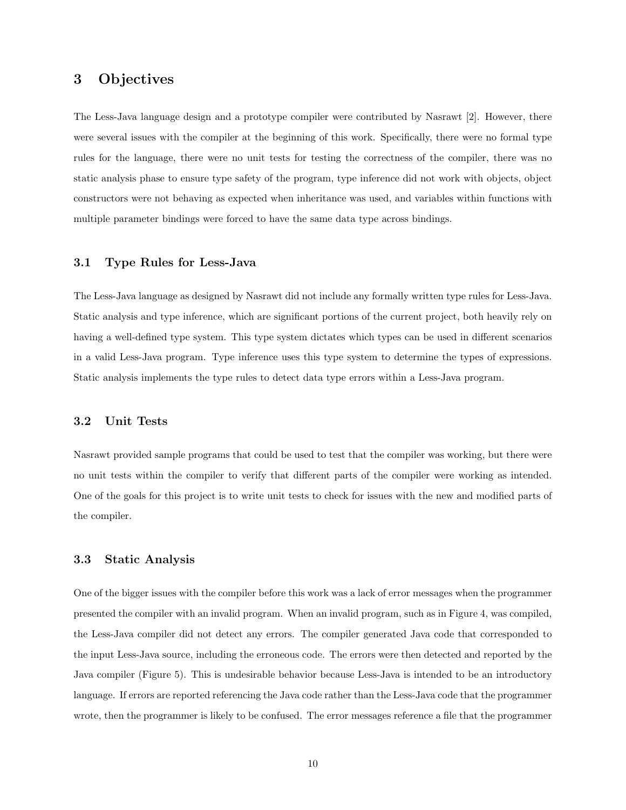### <span id="page-10-0"></span>3 Objectives

The Less-Java language design and a prototype compiler were contributed by Nasrawt [\[2\]](#page-25-1). However, there were several issues with the compiler at the beginning of this work. Specifically, there were no formal type rules for the language, there were no unit tests for testing the correctness of the compiler, there was no static analysis phase to ensure type safety of the program, type inference did not work with objects, object constructors were not behaving as expected when inheritance was used, and variables within functions with multiple parameter bindings were forced to have the same data type across bindings.

#### <span id="page-10-1"></span>3.1 Type Rules for Less-Java

The Less-Java language as designed by Nasrawt did not include any formally written type rules for Less-Java. Static analysis and type inference, which are significant portions of the current project, both heavily rely on having a well-defined type system. This type system dictates which types can be used in different scenarios in a valid Less-Java program. Type inference uses this type system to determine the types of expressions. Static analysis implements the type rules to detect data type errors within a Less-Java program.

### <span id="page-10-2"></span>3.2 Unit Tests

Nasrawt provided sample programs that could be used to test that the compiler was working, but there were no unit tests within the compiler to verify that different parts of the compiler were working as intended. One of the goals for this project is to write unit tests to check for issues with the new and modified parts of the compiler.

#### <span id="page-10-3"></span>3.3 Static Analysis

One of the bigger issues with the compiler before this work was a lack of error messages when the programmer presented the compiler with an invalid program. When an invalid program, such as in Figure [4,](#page-11-1) was compiled, the Less-Java compiler did not detect any errors. The compiler generated Java code that corresponded to the input Less-Java source, including the erroneous code. The errors were then detected and reported by the Java compiler (Figure [5\)](#page-11-2). This is undesirable behavior because Less-Java is intended to be an introductory language. If errors are reported referencing the Java code rather than the Less-Java code that the programmer wrote, then the programmer is likely to be confused. The error messages reference a file that the programmer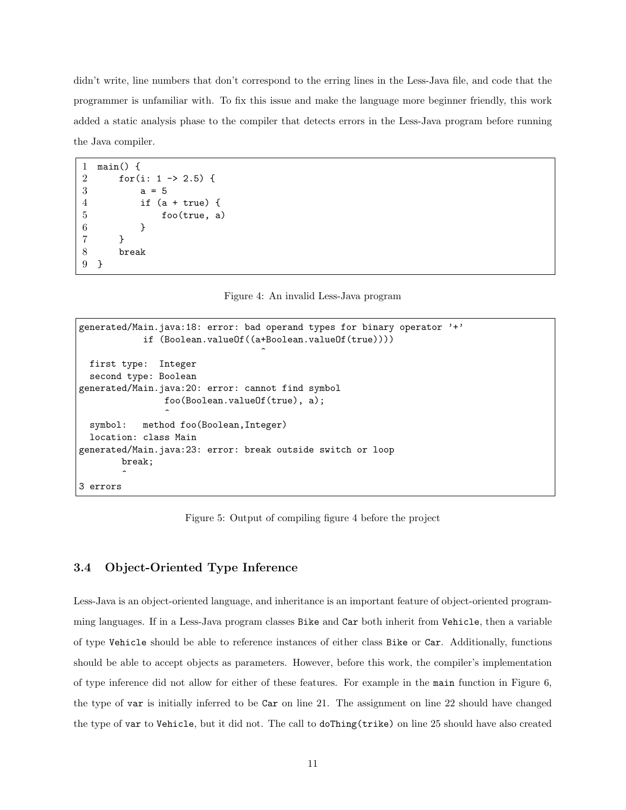didn't write, line numbers that don't correspond to the erring lines in the Less-Java file, and code that the programmer is unfamiliar with. To fix this issue and make the language more beginner friendly, this work added a static analysis phase to the compiler that detects errors in the Less-Java program before running the Java compiler.

```
1 main() {
2 for(i: 1 -> 2.5) {
3 \t a = 54 if (a + true) {
5 foo(true, a)
6 }
7 }
8 break
9 }
```
<span id="page-11-1"></span>Figure 4: An invalid Less-Java program

```
generated/Main.java:18: error: bad operand types for binary operator '+'
            if (Boolean.valueOf((a+Boolean.valueOf(true))))
                                    \hat{ }first type: Integer
 second type: Boolean
generated/Main.java:20: error: cannot find symbol
                foo(Boolean.valueOf(true), a);
                 \hat{ }symbol: method foo(Boolean,Integer)
  location: class Main
generated/Main.java:23: error: break outside switch or loop
        break;
        \hat{ }3 errors
```
<span id="page-11-2"></span>Figure 5: Output of compiling figure [4](#page-11-1) before the project

### <span id="page-11-0"></span>3.4 Object-Oriented Type Inference

Less-Java is an object-oriented language, and inheritance is an important feature of object-oriented programming languages. If in a Less-Java program classes Bike and Car both inherit from Vehicle, then a variable of type Vehicle should be able to reference instances of either class Bike or Car. Additionally, functions should be able to accept objects as parameters. However, before this work, the compiler's implementation of type inference did not allow for either of these features. For example in the main function in Figure [6,](#page-12-1) the type of var is initially inferred to be Car on line 21. The assignment on line 22 should have changed the type of var to Vehicle, but it did not. The call to doThing(trike) on line 25 should have also created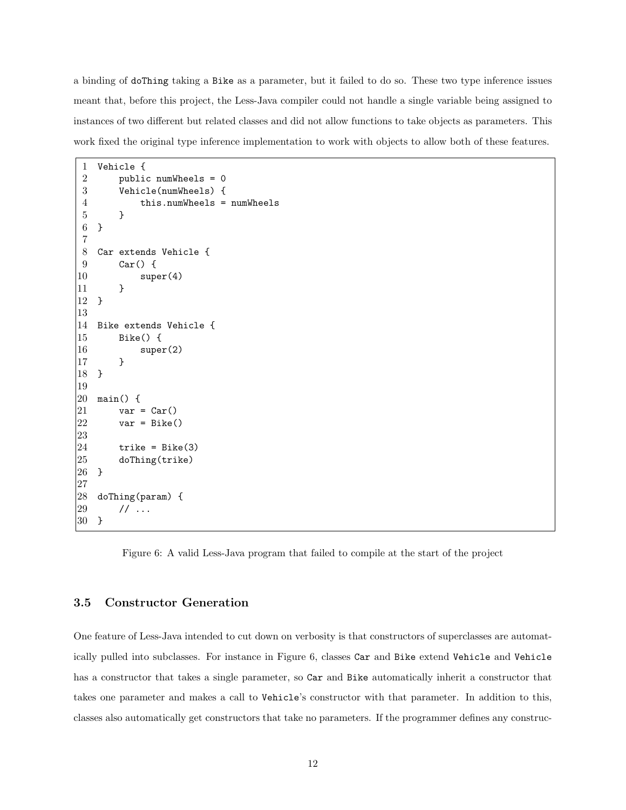a binding of doThing taking a Bike as a parameter, but it failed to do so. These two type inference issues meant that, before this project, the Less-Java compiler could not handle a single variable being assigned to instances of two different but related classes and did not allow functions to take objects as parameters. This work fixed the original type inference implementation to work with objects to allow both of these features.

```
1 Vehicle {
2 public numWheels = 0
3 Vehicle(numWheels) {
4 this.numWheels = numWheels
5 }
6 }
7
8 Car extends Vehicle {
9 Car() {
10 super(4)
11 }
12 }
13
14 Bike extends Vehicle {
15 Bike() {
16 super(2)
17 }
18 }
19
20 main() {
21 \quad var = Car()22 \text{ var} = \text{Bike}()23
24 trike = Bike(3)
25 doThing(trike)
26 }
27
28 doThing(param) {
29 // ...
30 }
```
<span id="page-12-1"></span>Figure 6: A valid Less-Java program that failed to compile at the start of the project

### <span id="page-12-0"></span>3.5 Constructor Generation

One feature of Less-Java intended to cut down on verbosity is that constructors of superclasses are automatically pulled into subclasses. For instance in Figure [6,](#page-12-1) classes Car and Bike extend Vehicle and Vehicle has a constructor that takes a single parameter, so Car and Bike automatically inherit a constructor that takes one parameter and makes a call to Vehicle's constructor with that parameter. In addition to this, classes also automatically get constructors that take no parameters. If the programmer defines any construc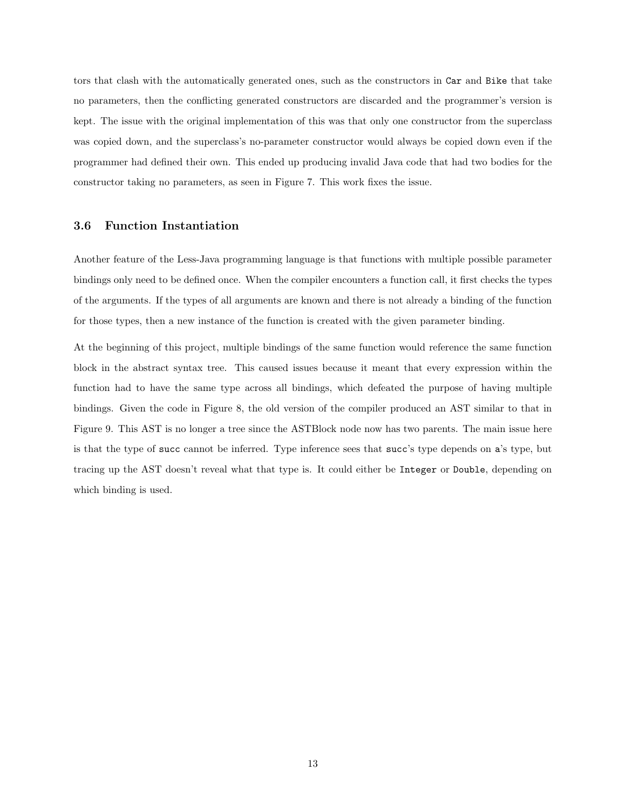tors that clash with the automatically generated ones, such as the constructors in Car and Bike that take no parameters, then the conflicting generated constructors are discarded and the programmer's version is kept. The issue with the original implementation of this was that only one constructor from the superclass was copied down, and the superclass's no-parameter constructor would always be copied down even if the programmer had defined their own. This ended up producing invalid Java code that had two bodies for the constructor taking no parameters, as seen in Figure [7.](#page-14-0) This work fixes the issue.

#### <span id="page-13-0"></span>3.6 Function Instantiation

Another feature of the Less-Java programming language is that functions with multiple possible parameter bindings only need to be defined once. When the compiler encounters a function call, it first checks the types of the arguments. If the types of all arguments are known and there is not already a binding of the function for those types, then a new instance of the function is created with the given parameter binding.

At the beginning of this project, multiple bindings of the same function would reference the same function block in the abstract syntax tree. This caused issues because it meant that every expression within the function had to have the same type across all bindings, which defeated the purpose of having multiple bindings. Given the code in Figure [8,](#page-15-0) the old version of the compiler produced an AST similar to that in Figure [9.](#page-15-1) This AST is no longer a tree since the ASTBlock node now has two parents. The main issue here is that the type of succ cannot be inferred. Type inference sees that succ's type depends on a's type, but tracing up the AST doesn't reveal what that type is. It could either be Integer or Double, depending on which binding is used.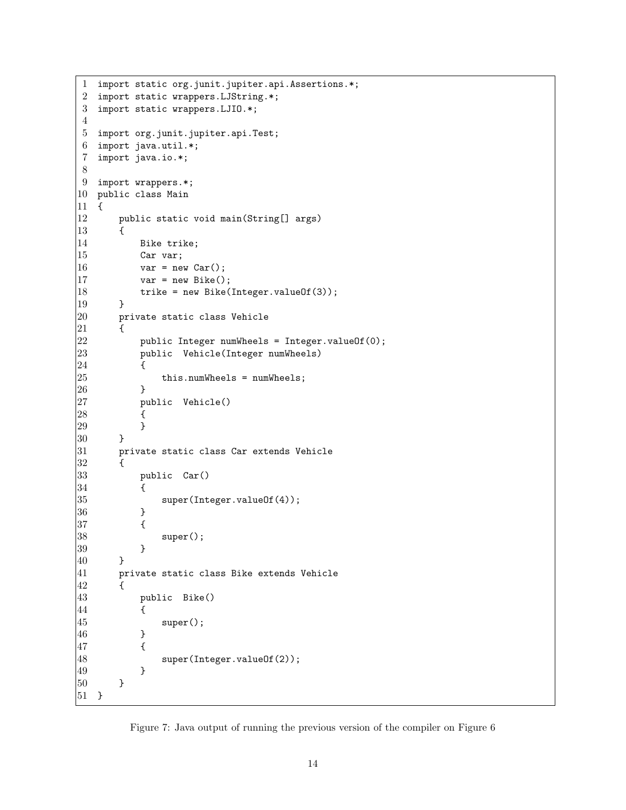```
1 import static org.junit.jupiter.api.Assertions.*;
 2 import static wrappers.LJString.*;
 3 import static wrappers.LJIO.*;
 4
 5 import org.junit.jupiter.api.Test;
 6 import java.util.*;
 7 import java.io.*;
 8
 9 import wrappers.*;
10 public class Main
11 {
12 public static void main(String[] args)
13 {
14 Bike trike;
15 Car var;
|16 \t\t \text{var} = \text{new Car}();|17 var = new Bike();
18 trike = new Bike(Integer.valueOf(3));
19 }
|20 private static class Vehicle
\begin{array}{ccc} 21 & \quad & \text{&} \end{array}22 public Integer numWheels = Integer.valueOf(0);<br>23 public Vehicle(Integer numWheels)
             public Vehicle(Integer numWheels)
\begin{array}{ccc} 24 & & \text{f} \\ 25 & & \end{array}this.numWheels = numWheels;
\begin{array}{ccc} 26 & & & \frac{1}{27} \\ 27 & & & \frac{1}{27} \end{array}public Vehicle()
28 {
29 }
\begin{array}{ccc} 30 & & \rightarrow \\ 31 & & \mathsf{p} \end{array}private static class Car extends Vehicle
|32 \qquad \{\}33 public Car()
34 {
35 super(Integer.valueOf(4));
36 }
37 {
38 super();
39 }
40 }
41 private static class Bike extends Vehicle
\begin{array}{cc} 42 & \quad \texttt{\quad \{ } }\\ 43 & \quad \texttt{\quad \{ } } \end{array}public Bike()
44 {
45 super();
46 }
47 {
48 super(Integer.valueOf(2));
49 }
50 }
51 }
```
<span id="page-14-0"></span>Figure 7: Java output of running the previous version of the compiler on Figure [6](#page-12-1)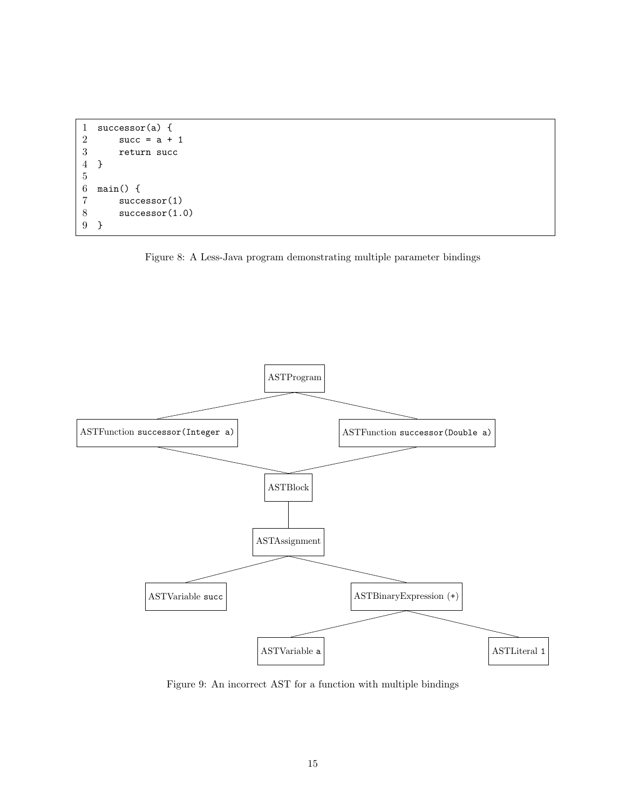```
1 successor(a) {
2 succ = a + 1<br>3 return succ
3 return succ<br>4 }
   4 }
\begin{array}{c} 5 \\ 6 \end{array}main() {
7 successor(1)<br>8 successor(1.
8 successor(1.0)<br>9 }
    9 }
```
<span id="page-15-0"></span>



<span id="page-15-1"></span>Figure 9: An incorrect AST for a function with multiple bindings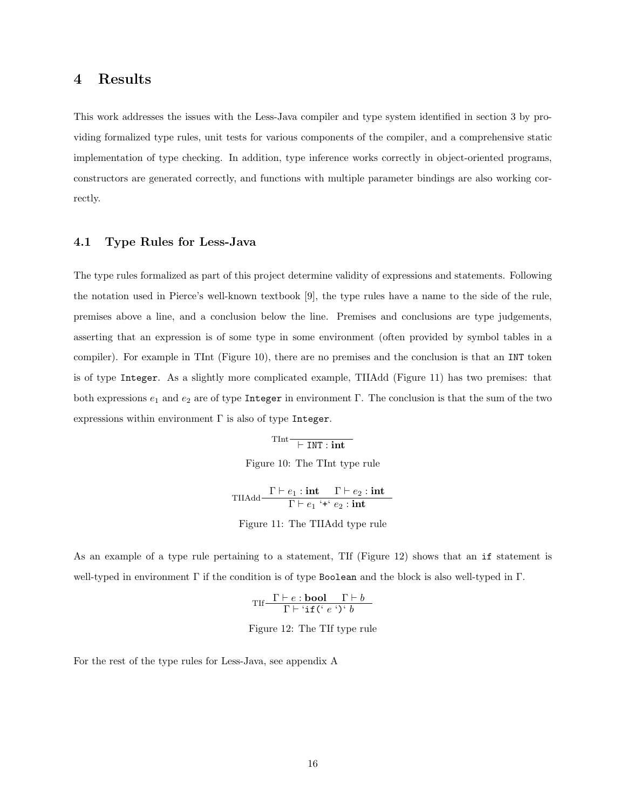### <span id="page-16-0"></span>4 Results

This work addresses the issues with the Less-Java compiler and type system identified in section [3](#page-10-0) by providing formalized type rules, unit tests for various components of the compiler, and a comprehensive static implementation of type checking. In addition, type inference works correctly in object-oriented programs, constructors are generated correctly, and functions with multiple parameter bindings are also working correctly.

#### <span id="page-16-1"></span>4.1 Type Rules for Less-Java

The type rules formalized as part of this project determine validity of expressions and statements. Following the notation used in Pierce's well-known textbook [\[9\]](#page-25-8), the type rules have a name to the side of the rule, premises above a line, and a conclusion below the line. Premises and conclusions are type judgements, asserting that an expression is of some type in some environment (often provided by symbol tables in a compiler). For example in TInt (Figure [10\)](#page-16-2), there are no premises and the conclusion is that an INT token is of type Integer. As a slightly more complicated example, TIIAdd (Figure [11\)](#page-16-3) has two premises: that both expressions  $e_1$  and  $e_2$  are of type Integer in environment Γ. The conclusion is that the sum of the two expressions within environment  $\Gamma$  is also of type Integer.

> <span id="page-16-2"></span> $\frac{1}{\sqrt{1 + \text{INT}: \text{int}}}$ Figure 10: The TInt type rule

TIIAdd  $\frac{\Gamma \vdash e_1 : \textbf{int} \quad \Gamma \vdash e_2 : \textbf{int}}{\Gamma \vdash e_1 : \textbf{int}}$  $\Gamma \vdash e_1$  '+'  $e_2$  : int

<span id="page-16-3"></span>Figure 11: The TIIAdd type rule

As an example of a type rule pertaining to a statement, TIf (Figure [12\)](#page-16-4) shows that an if statement is well-typed in environment Γ if the condition is of type Boolean and the block is also well-typed in Γ.

$$
\text{TIf}\frac{\Gamma\vdash e:\mathbf{bool}\qquad \Gamma\vdash b}{\Gamma\vdash`\mathbf{if}(\lq\hspace{0.1cm}\cdot\hspace{0.1cm}\varepsilon\hspace{0.1cm}\cdot\hspace{0.1cm}\rightharpoonup b}
$$

<span id="page-16-4"></span>Figure 12: The TIf type rule

For the rest of the type rules for Less-Java, see appendix [A](#page-24-0)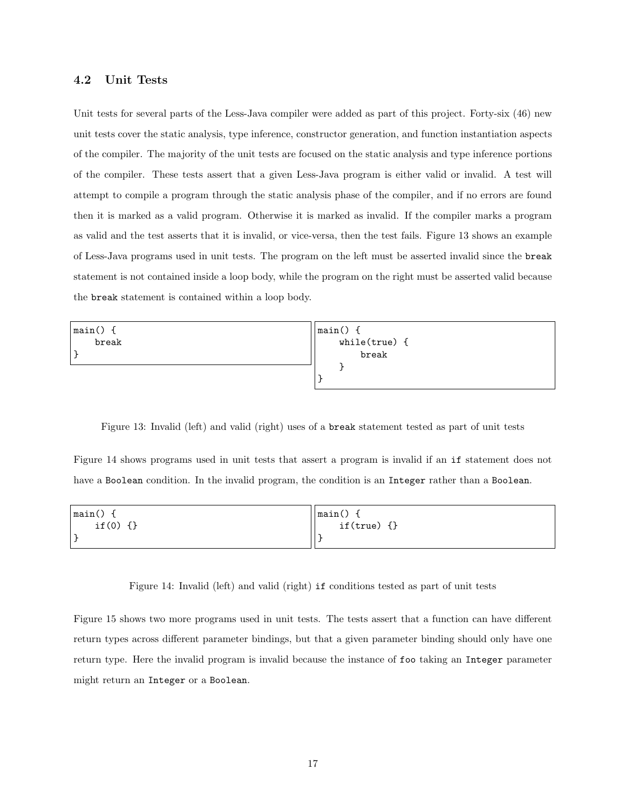### <span id="page-17-0"></span>4.2 Unit Tests

Unit tests for several parts of the Less-Java compiler were added as part of this project. Forty-six (46) new unit tests cover the static analysis, type inference, constructor generation, and function instantiation aspects of the compiler. The majority of the unit tests are focused on the static analysis and type inference portions of the compiler. These tests assert that a given Less-Java program is either valid or invalid. A test will attempt to compile a program through the static analysis phase of the compiler, and if no errors are found then it is marked as a valid program. Otherwise it is marked as invalid. If the compiler marks a program as valid and the test asserts that it is invalid, or vice-versa, then the test fails. Figure [13](#page-17-1) shows an example of Less-Java programs used in unit tests. The program on the left must be asserted invalid since the break statement is not contained inside a loop body, while the program on the right must be asserted valid because the break statement is contained within a loop body.

| main() f | $ main() \{$    |
|----------|-----------------|
| break    | $while(true)$ { |
|          | break           |
|          |                 |
|          |                 |

<span id="page-17-1"></span>Figure 13: Invalid (left) and valid (right) uses of a break statement tested as part of unit tests

Figure [14](#page-17-2) shows programs used in unit tests that assert a program is invalid if an if statement does not have a Boolean condition. In the invalid program, the condition is an Integer rather than a Boolean.

| main()          | $\vert$ main() |
|-----------------|----------------|
| if(0)<br>$\{\}$ | $if(true)$ {}  |
|                 |                |

<span id="page-17-2"></span>Figure 14: Invalid (left) and valid (right) if conditions tested as part of unit tests

Figure [15](#page-18-2) shows two more programs used in unit tests. The tests assert that a function can have different return types across different parameter bindings, but that a given parameter binding should only have one return type. Here the invalid program is invalid because the instance of foo taking an Integer parameter might return an Integer or a Boolean.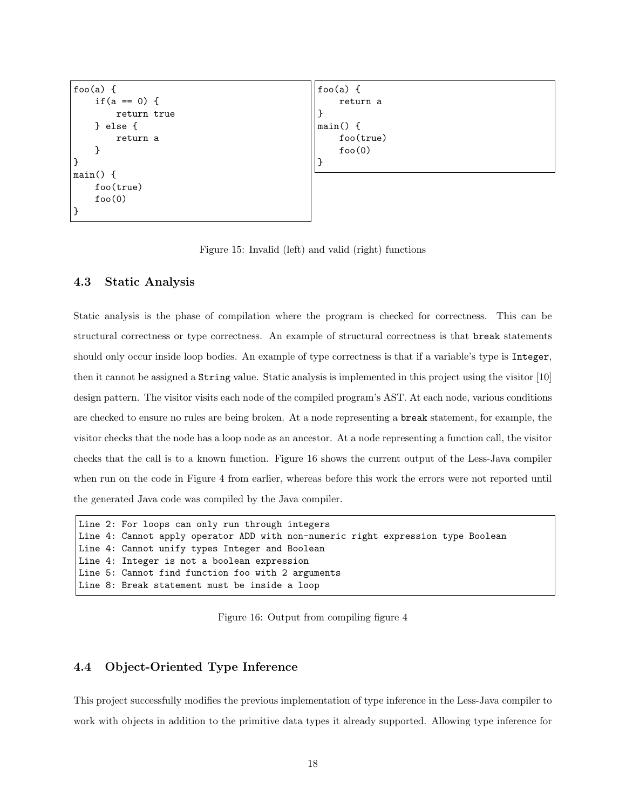```
foo(a) { }if(a == 0) {
        return true
    } else {
        return a
    }
}
main() {
    foo(true)
    foo(0)}
                                                  foo(a) {
                                                      return a
                                                  }
                                                  main() {
                                                      foo(true)
                                                      foo(0)}
```
<span id="page-18-2"></span>

#### <span id="page-18-0"></span>4.3 Static Analysis

Static analysis is the phase of compilation where the program is checked for correctness. This can be structural correctness or type correctness. An example of structural correctness is that break statements should only occur inside loop bodies. An example of type correctness is that if a variable's type is Integer, then it cannot be assigned a String value. Static analysis is implemented in this project using the visitor [\[10\]](#page-25-9) design pattern. The visitor visits each node of the compiled program's AST. At each node, various conditions are checked to ensure no rules are being broken. At a node representing a break statement, for example, the visitor checks that the node has a loop node as an ancestor. At a node representing a function call, the visitor checks that the call is to a known function. Figure [16](#page-18-3) shows the current output of the Less-Java compiler when run on the code in Figure [4](#page-11-1) from earlier, whereas before this work the errors were not reported until the generated Java code was compiled by the Java compiler.

```
Line 2: For loops can only run through integers
Line 4: Cannot apply operator ADD with non-numeric right expression type Boolean
Line 4: Cannot unify types Integer and Boolean
Line 4: Integer is not a boolean expression
Line 5: Cannot find function foo with 2 arguments
Line 8: Break statement must be inside a loop
```
<span id="page-18-3"></span>Figure 16: Output from compiling figure [4](#page-11-1)

#### <span id="page-18-1"></span>4.4 Object-Oriented Type Inference

This project successfully modifies the previous implementation of type inference in the Less-Java compiler to work with objects in addition to the primitive data types it already supported. Allowing type inference for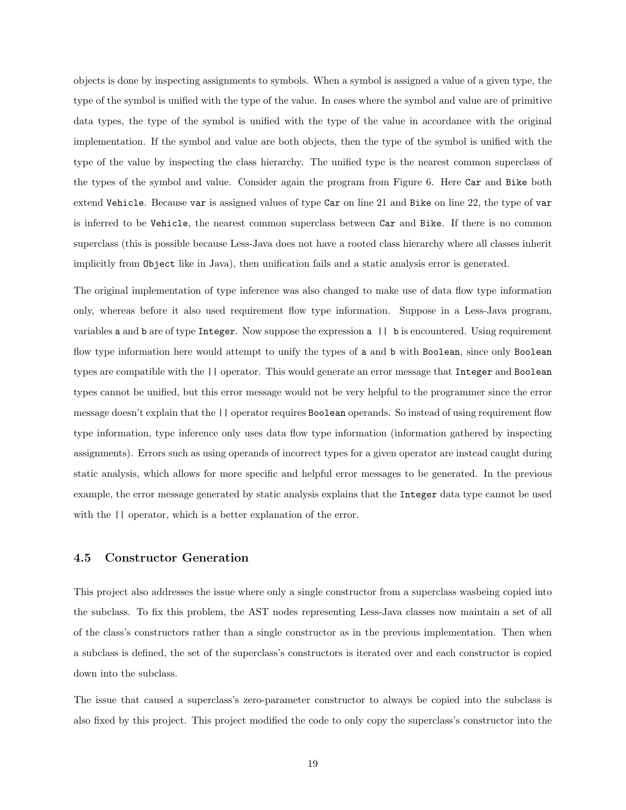objects is done by inspecting assignments to symbols. When a symbol is assigned a value of a given type, the type of the symbol is unified with the type of the value. In cases where the symbol and value are of primitive data types, the type of the symbol is unified with the type of the value in accordance with the original implementation. If the symbol and value are both objects, then the type of the symbol is unified with the type of the value by inspecting the class hierarchy. The unified type is the nearest common superclass of the types of the symbol and value. Consider again the program from Figure [6.](#page-12-1) Here Car and Bike both extend Vehicle. Because var is assigned values of type Car on line 21 and Bike on line 22, the type of var is inferred to be Vehicle, the nearest common superclass between Car and Bike. If there is no common superclass (this is possible because Less-Java does not have a rooted class hierarchy where all classes inherit implicitly from Object like in Java), then unification fails and a static analysis error is generated.

The original implementation of type inference was also changed to make use of data flow type information only, whereas before it also used requirement flow type information. Suppose in a Less-Java program, variables a and b are of type Integer. Now suppose the expression a || b is encountered. Using requirement flow type information here would attempt to unify the types of a and b with Boolean, since only Boolean types are compatible with the || operator. This would generate an error message that Integer and Boolean types cannot be unified, but this error message would not be very helpful to the programmer since the error message doesn't explain that the || operator requires Boolean operands. So instead of using requirement flow type information, type inference only uses data flow type information (information gathered by inspecting assignments). Errors such as using operands of incorrect types for a given operator are instead caught during static analysis, which allows for more specific and helpful error messages to be generated. In the previous example, the error message generated by static analysis explains that the Integer data type cannot be used with the  $||$  operator, which is a better explanation of the error.

#### <span id="page-19-0"></span>4.5 Constructor Generation

This project also addresses the issue where only a single constructor from a superclass wasbeing copied into the subclass. To fix this problem, the AST nodes representing Less-Java classes now maintain a set of all of the class's constructors rather than a single constructor as in the previous implementation. Then when a subclass is defined, the set of the superclass's constructors is iterated over and each constructor is copied down into the subclass.

The issue that caused a superclass's zero-parameter constructor to always be copied into the subclass is also fixed by this project. This project modified the code to only copy the superclass's constructor into the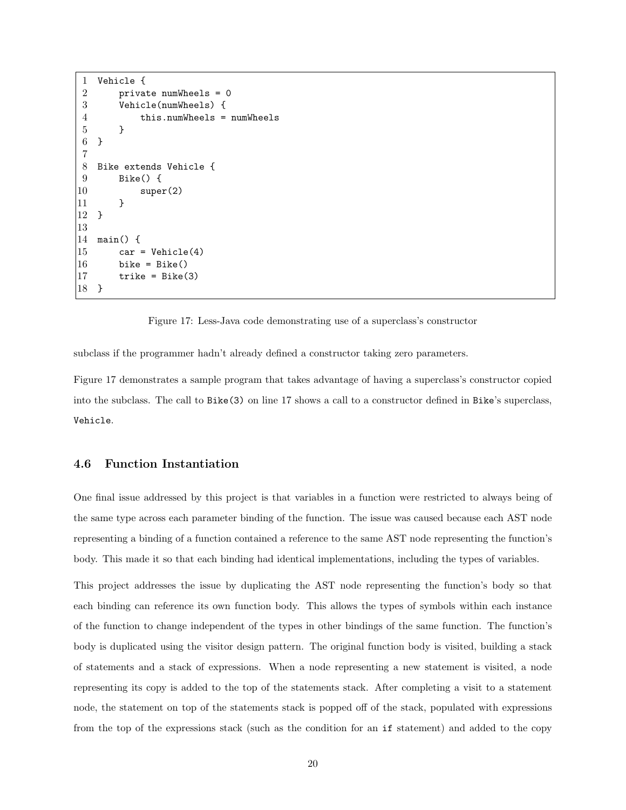```
1 Vehicle {
2 private numWheels = 0
3 Vehicle(numWheels) {
4 this.numWheels = numWheels
5 }
6 }
7
8 Bike extends Vehicle {
9 Bike() {
10 super(2)
11 }
12 }
13
14 main() {
15 car = Vehicle(4)
16 bike = Bike()
17 trike = Bike(3)
18 }
```
<span id="page-20-1"></span>Figure 17: Less-Java code demonstrating use of a superclass's constructor

subclass if the programmer hadn't already defined a constructor taking zero parameters.

Figure [17](#page-20-1) demonstrates a sample program that takes advantage of having a superclass's constructor copied into the subclass. The call to Bike(3) on line 17 shows a call to a constructor defined in Bike's superclass, Vehicle.

#### <span id="page-20-0"></span>4.6 Function Instantiation

One final issue addressed by this project is that variables in a function were restricted to always being of the same type across each parameter binding of the function. The issue was caused because each AST node representing a binding of a function contained a reference to the same AST node representing the function's body. This made it so that each binding had identical implementations, including the types of variables.

This project addresses the issue by duplicating the AST node representing the function's body so that each binding can reference its own function body. This allows the types of symbols within each instance of the function to change independent of the types in other bindings of the same function. The function's body is duplicated using the visitor design pattern. The original function body is visited, building a stack of statements and a stack of expressions. When a node representing a new statement is visited, a node representing its copy is added to the top of the statements stack. After completing a visit to a statement node, the statement on top of the statements stack is popped off of the stack, populated with expressions from the top of the expressions stack (such as the condition for an if statement) and added to the copy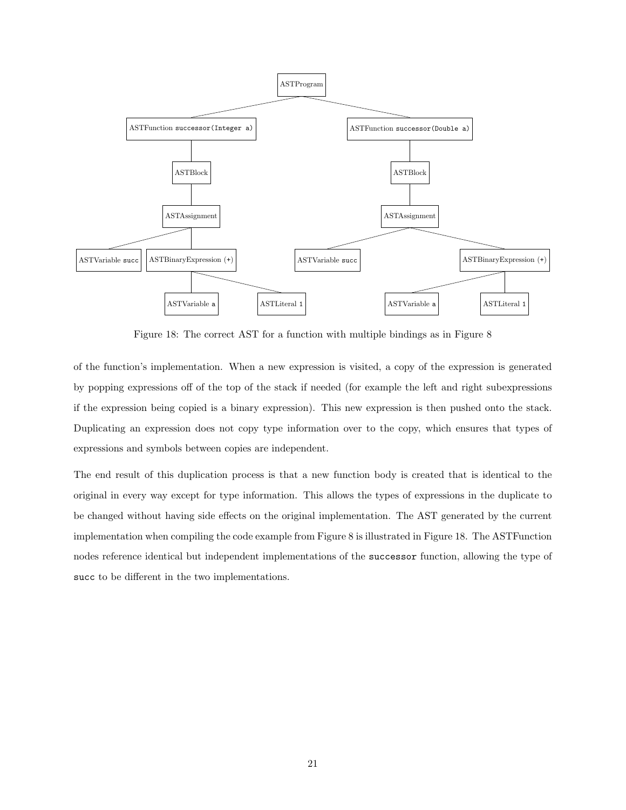

<span id="page-21-0"></span>Figure 18: The correct AST for a function with multiple bindings as in Figure [8](#page-15-0)

of the function's implementation. When a new expression is visited, a copy of the expression is generated by popping expressions off of the top of the stack if needed (for example the left and right subexpressions if the expression being copied is a binary expression). This new expression is then pushed onto the stack. Duplicating an expression does not copy type information over to the copy, which ensures that types of expressions and symbols between copies are independent.

The end result of this duplication process is that a new function body is created that is identical to the original in every way except for type information. This allows the types of expressions in the duplicate to be changed without having side effects on the original implementation. The AST generated by the current implementation when compiling the code example from Figure [8](#page-15-0) is illustrated in Figure [18.](#page-21-0) The ASTFunction nodes reference identical but independent implementations of the successor function, allowing the type of succ to be different in the two implementations.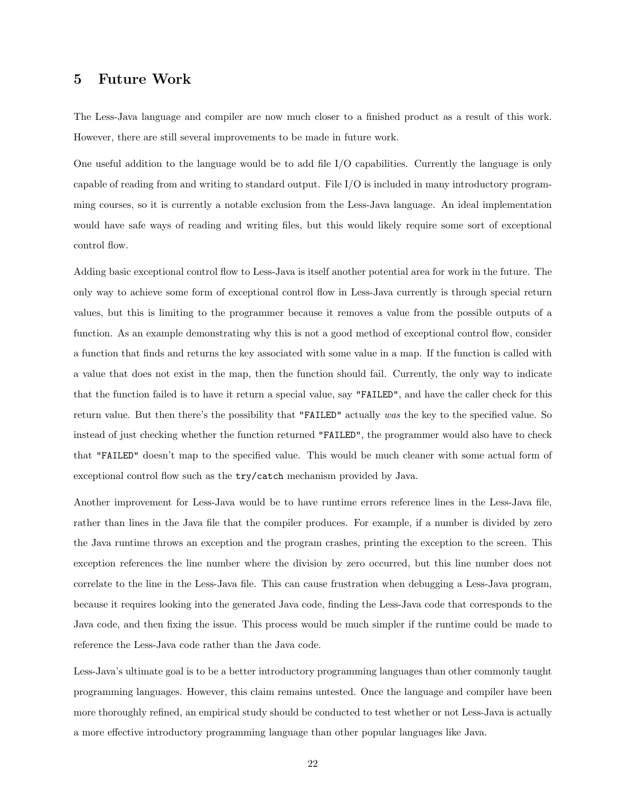### <span id="page-22-0"></span>5 Future Work

The Less-Java language and compiler are now much closer to a finished product as a result of this work. However, there are still several improvements to be made in future work.

One useful addition to the language would be to add file I/O capabilities. Currently the language is only capable of reading from and writing to standard output. File I/O is included in many introductory programming courses, so it is currently a notable exclusion from the Less-Java language. An ideal implementation would have safe ways of reading and writing files, but this would likely require some sort of exceptional control flow.

Adding basic exceptional control flow to Less-Java is itself another potential area for work in the future. The only way to achieve some form of exceptional control flow in Less-Java currently is through special return values, but this is limiting to the programmer because it removes a value from the possible outputs of a function. As an example demonstrating why this is not a good method of exceptional control flow, consider a function that finds and returns the key associated with some value in a map. If the function is called with a value that does not exist in the map, then the function should fail. Currently, the only way to indicate that the function failed is to have it return a special value, say "FAILED", and have the caller check for this return value. But then there's the possibility that "FAILED" actually was the key to the specified value. So instead of just checking whether the function returned "FAILED", the programmer would also have to check that "FAILED" doesn't map to the specified value. This would be much cleaner with some actual form of exceptional control flow such as the try/catch mechanism provided by Java.

Another improvement for Less-Java would be to have runtime errors reference lines in the Less-Java file, rather than lines in the Java file that the compiler produces. For example, if a number is divided by zero the Java runtime throws an exception and the program crashes, printing the exception to the screen. This exception references the line number where the division by zero occurred, but this line number does not correlate to the line in the Less-Java file. This can cause frustration when debugging a Less-Java program, because it requires looking into the generated Java code, finding the Less-Java code that corresponds to the Java code, and then fixing the issue. This process would be much simpler if the runtime could be made to reference the Less-Java code rather than the Java code.

Less-Java's ultimate goal is to be a better introductory programming languages than other commonly taught programming languages. However, this claim remains untested. Once the language and compiler have been more thoroughly refined, an empirical study should be conducted to test whether or not Less-Java is actually a more effective introductory programming language than other popular languages like Java.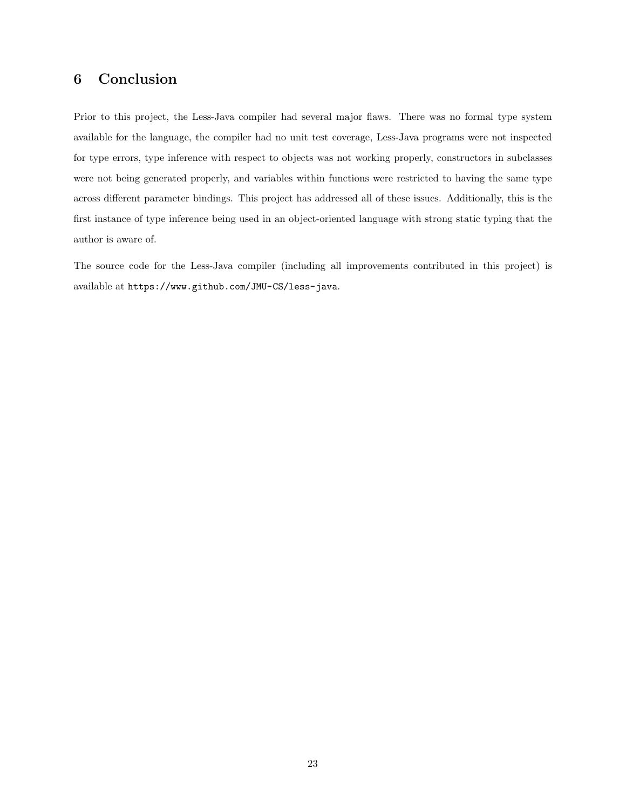### <span id="page-23-0"></span>6 Conclusion

Prior to this project, the Less-Java compiler had several major flaws. There was no formal type system available for the language, the compiler had no unit test coverage, Less-Java programs were not inspected for type errors, type inference with respect to objects was not working properly, constructors in subclasses were not being generated properly, and variables within functions were restricted to having the same type across different parameter bindings. This project has addressed all of these issues. Additionally, this is the first instance of type inference being used in an object-oriented language with strong static typing that the author is aware of.

The source code for the Less-Java compiler (including all improvements contributed in this project) is available at <https://www.github.com/JMU-CS/less-java>.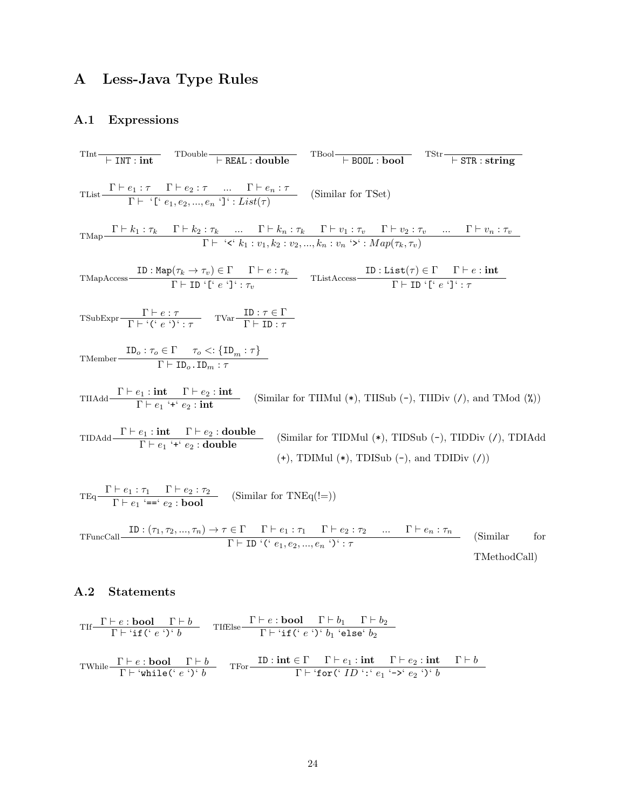## <span id="page-24-0"></span>A Less-Java Type Rules

## <span id="page-24-1"></span>A.1 Expressions

|                                                                                                                                                                                                                 | $\begin{array}{ccc}\n\text{That} & \text{TDouble} \\ \hline\n\text{+ INT}: int & \text{TDouble}\n\end{array}\n\quad\n\begin{array}{ccc}\n\text{TDouble} & \text{TBool} \\ \hline\n\text{+ B00L}: \text{bool} & \text{TStr}\n\end{array}\n\quad\n\begin{array}{ccc}\n\text{TStr}\n\end{array}\n\quad\n\begin{array}{ccc}\n\text{TStr}\n\end{array}\n\quad\n\begin{array}{ccc}\n\text{+ STR}: \text{string}\n\end{array}$ |              |  |
|-----------------------------------------------------------------------------------------------------------------------------------------------------------------------------------------------------------------|-------------------------------------------------------------------------------------------------------------------------------------------------------------------------------------------------------------------------------------------------------------------------------------------------------------------------------------------------------------------------------------------------------------------------|--------------|--|
| TList $\frac{\Gamma \vdash e_1 : \tau \quad \Gamma \vdash e_2 : \tau \quad  \quad \Gamma \vdash e_n : \tau}{\Gamma \vdash \{\Gamma \vdash e_1, e_2, , e_n \cdot \} \cdot \text{List}(\tau)}$ (Similar for TSet) |                                                                                                                                                                                                                                                                                                                                                                                                                         |              |  |
|                                                                                                                                                                                                                 | TMap $\frac{\Gamma \vdash k_1 : \tau_k \qquad \Gamma \vdash k_2 : \tau_k \qquad \dots \qquad \Gamma \vdash k_n : \tau_k \qquad \Gamma \vdash v_1 : \tau_v \qquad \Gamma \vdash v_2 : \tau_v \qquad \dots \qquad \Gamma \vdash v_n : \tau_v}{\Gamma \vdash \text{ 'c' } k_1 : v_1, k_2 : v_2, \dots, k_n : v_n \text{ '>'} : Map(\tau_k, \tau_v)}$                                                                       |              |  |
|                                                                                                                                                                                                                 | TMapAccess $\frac{\text{ID}: \text{Map}(\tau_k \to \tau_v) \in \Gamma \quad \Gamma \vdash e : \tau_k}{\Gamma \vdash \text{ID} \cdot \lceil' e \cdot \rceil' : \tau_v}$ TListAccess $\frac{\text{ID}: \text{List}(\tau) \in \Gamma \quad \Gamma \vdash e : \text{int}}{\Gamma \vdash \text{ID} \cdot \lceil' e \cdot \rceil' : \tau}$                                                                                    |              |  |
| TSubExpr $\frac{\Gamma \vdash e : \tau}{\Gamma \vdash {\{(\cdot \rho : \cdot) \cdot \cdot \tau\}}}$ TVar $\frac{\text{ID} : \tau \in \Gamma}{\Gamma \vdash \text{ID} : \tau}$                                   |                                                                                                                                                                                                                                                                                                                                                                                                                         |              |  |
| TMember $\frac{\text{ID}_o : \tau_o \in \Gamma \quad \tau_o \leq \{\text{ID}_m : \tau\}}{\Gamma \vdash \text{ID}_o \cdot \text{ID}_m : \tau}$                                                                   |                                                                                                                                                                                                                                                                                                                                                                                                                         |              |  |
|                                                                                                                                                                                                                 | TIIAdd $\frac{\Gamma \vdash e_1 : \text{int} \quad \Gamma \vdash e_2 : \text{int}}{\Gamma \vdash e_1 : \text{f} \cdot e_2 : \text{int}}$ (Similar for TIIMul (*), TIISub (-), TIIDiv (/), and TMod (%))                                                                                                                                                                                                                 |              |  |
|                                                                                                                                                                                                                 | TIDAdd $\frac{\Gamma \vdash e_1 : \textbf{int} \quad \Gamma \vdash e_2 : \textbf{double}}{\Gamma \vdash e_1' * f \vdash e_2 : \textbf{double}}$ (Similar for TIDMul (*), TIDSub (-), TIDDiv (/), TDIAdd<br>$(+)$ , TDIMul $(*)$ , TDISub $(-)$ , and TDIDiv $(7)$                                                                                                                                                       |              |  |
| $TEq \frac{\Gamma \vdash e_1 : \tau_1 \quad \Gamma \vdash e_2 : \tau_2}{\Gamma \vdash e_1 \stackrel{\cdot}{\cdot} = \cdot e_2 : \mathbf{bool}}$ (Similar for TNEq(!=))                                          |                                                                                                                                                                                                                                                                                                                                                                                                                         |              |  |
|                                                                                                                                                                                                                 | TFuncCall $\frac{\text{ID}: (\tau_1, \tau_2, , \tau_n) \to \tau \in \Gamma \quad \Gamma \vdash e_1 : \tau_1 \quad \Gamma \vdash e_2 : \tau_2 \quad  \quad \Gamma \vdash e_n : \tau_n}{\Gamma \vdash \text{ID} \cdot (\text{`} \ e_1, e_2, , e_n \cdot \text{`}) \cdot \tau}$ (Similar for                                                                                                                               | TMethodCall) |  |

### <span id="page-24-2"></span>A.2 Statements

$$
\begin{array}{ll}\n\text{Tr}\frac{\Gamma \vdash e:\textbf{bool} \quad \Gamma \vdash b}{\Gamma \vdash \text{`if(' } e \text{ ')}' \text{ } b} & \text{TifElse} \frac{\Gamma \vdash e:\textbf{bool} \quad \Gamma \vdash b_1 \quad \Gamma \vdash b_2}{\Gamma \vdash \text{`if(' } e \text{ ')}' \text{ } b_1 \text{ 'else' } b_2}\n\end{array}
$$
\n
$$
\text{TVhile}\frac{\Gamma \vdash e:\textbf{bool} \quad \Gamma \vdash b}{\Gamma \vdash \text{`while(' } e \text{ '})' \text{ } b} \quad \text{Tror}\frac{\text{ID}:\text{int} \in \Gamma \quad \Gamma \vdash e_1:\text{int} \quad \Gamma \vdash e_2:\text{int} \quad \Gamma \vdash b}{\Gamma \vdash \text{`for(' }ID': 'e_1 \text{ '->'} e_2 \text{ '})' \text{ } b}\n\end{array}
$$